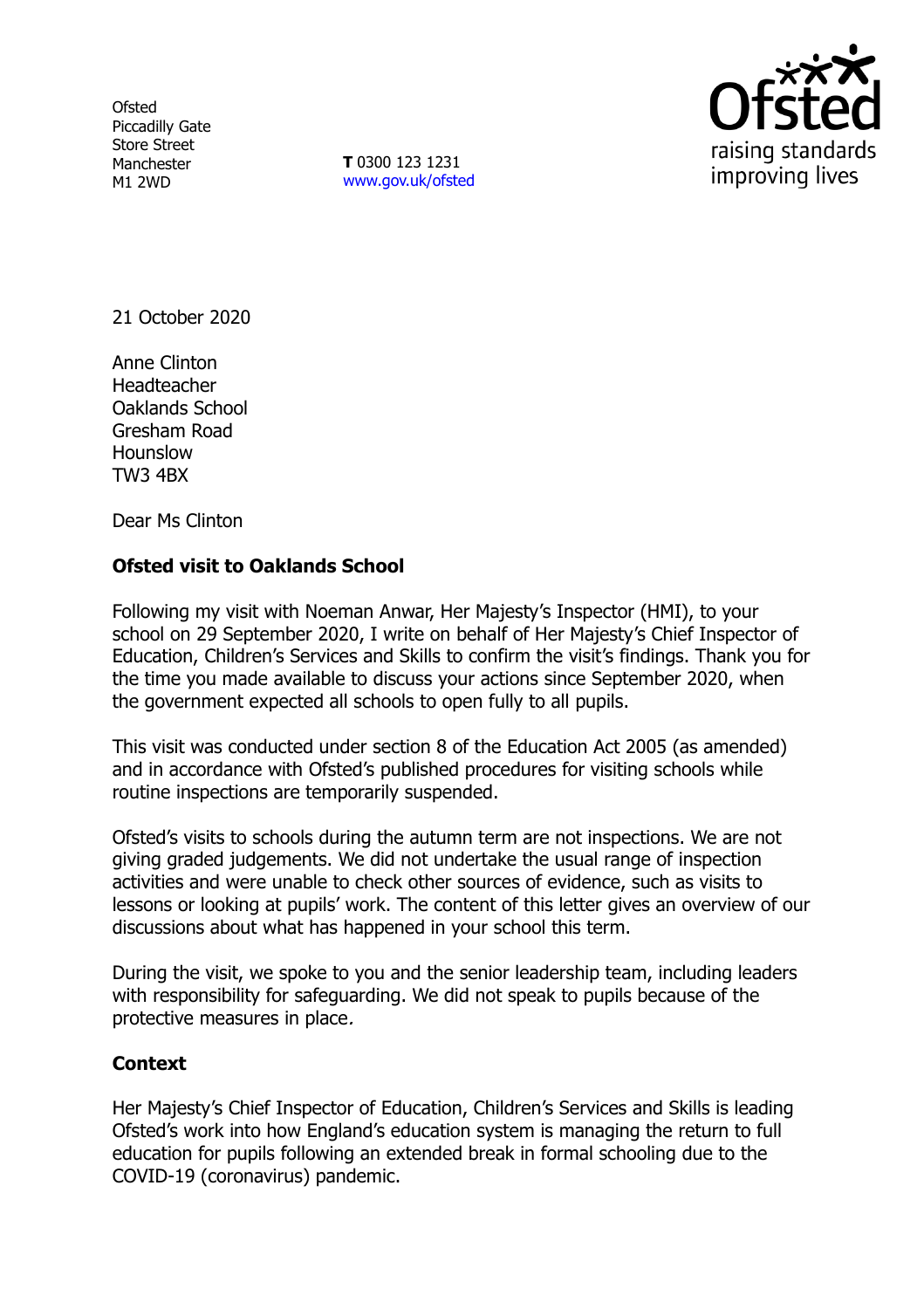**Ofsted** Piccadilly Gate Store Street Manchester M1 2WD

**T** 0300 123 1231 [www.gov.uk/ofsted](http://www.gov.uk/ofsted)



21 October 2020

Anne Clinton Headteacher Oaklands School Gresham Road Hounslow TW3 4BX

Dear Ms Clinton

## **Ofsted visit to Oaklands School**

Following my visit with Noeman Anwar, Her Majesty's Inspector (HMI), to your school on 29 September 2020, I write on behalf of Her Majesty's Chief Inspector of Education, Children's Services and Skills to confirm the visit's findings. Thank you for the time you made available to discuss your actions since September 2020, when the government expected all schools to open fully to all pupils.

This visit was conducted under section 8 of the Education Act 2005 (as amended) and in accordance with Ofsted's published procedures for visiting schools while routine inspections are temporarily suspended.

Ofsted's visits to schools during the autumn term are not inspections. We are not giving graded judgements. We did not undertake the usual range of inspection activities and were unable to check other sources of evidence, such as visits to lessons or looking at pupils' work. The content of this letter gives an overview of our discussions about what has happened in your school this term.

During the visit, we spoke to you and the senior leadership team, including leaders with responsibility for safeguarding. We did not speak to pupils because of the protective measures in place.

## **Context**

Her Majesty's Chief Inspector of Education, Children's Services and Skills is leading Ofsted's work into how England's education system is managing the return to full education for pupils following an extended break in formal schooling due to the COVID-19 (coronavirus) pandemic.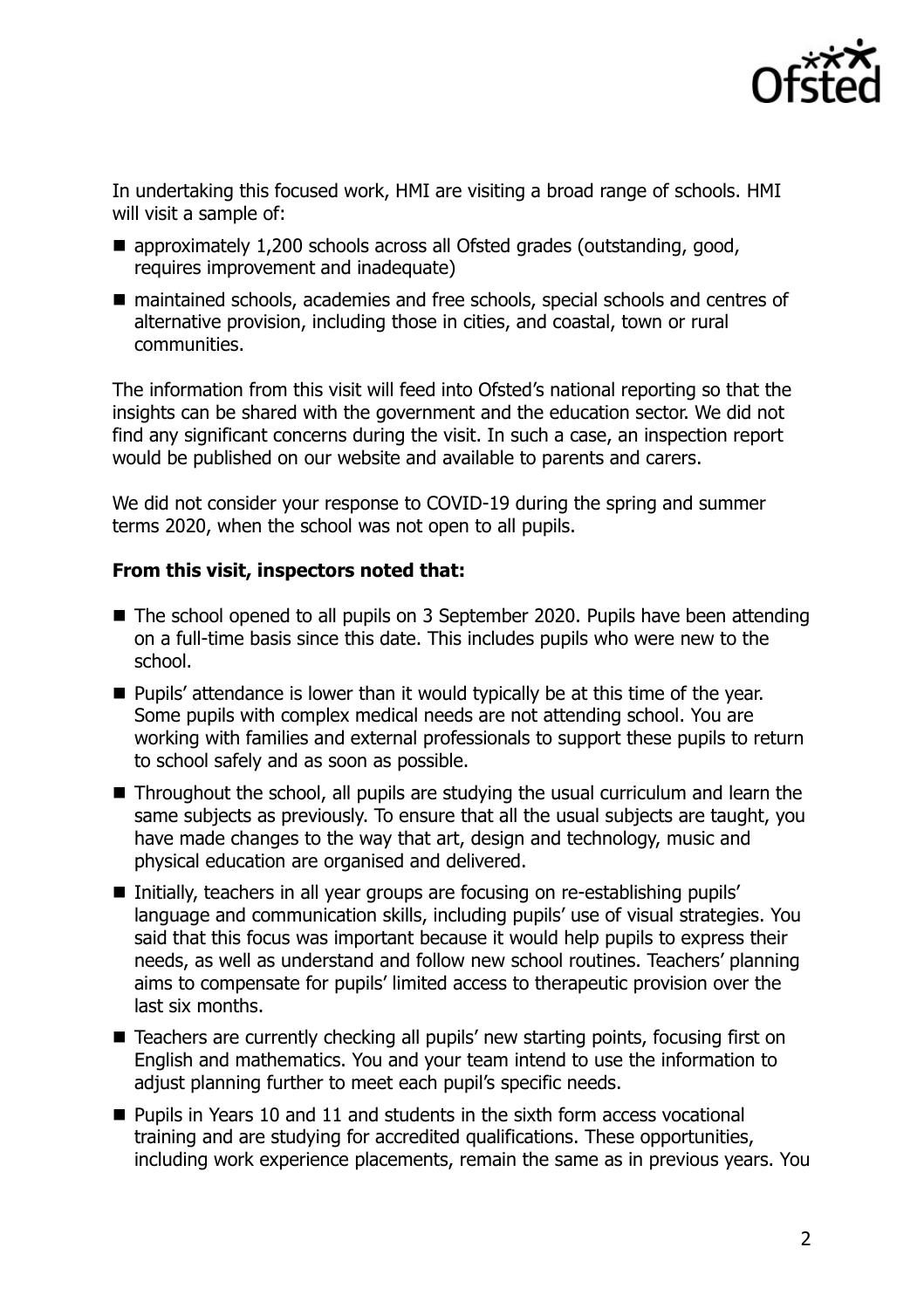

In undertaking this focused work, HMI are visiting a broad range of schools. HMI will visit a sample of:

- approximately 1,200 schools across all Ofsted grades (outstanding, good, requires improvement and inadequate)
- maintained schools, academies and free schools, special schools and centres of alternative provision, including those in cities, and coastal, town or rural communities.

The information from this visit will feed into Ofsted's national reporting so that the insights can be shared with the government and the education sector. We did not find any significant concerns during the visit. In such a case, an inspection report would be published on our website and available to parents and carers.

We did not consider your response to COVID-19 during the spring and summer terms 2020, when the school was not open to all pupils.

## **From this visit, inspectors noted that:**

- The school opened to all pupils on 3 September 2020. Pupils have been attending on a full-time basis since this date. This includes pupils who were new to the school.
- **Pupils' attendance is lower than it would typically be at this time of the year.** Some pupils with complex medical needs are not attending school. You are working with families and external professionals to support these pupils to return to school safely and as soon as possible.
- Throughout the school, all pupils are studving the usual curriculum and learn the same subjects as previously. To ensure that all the usual subjects are taught, you have made changes to the way that art, design and technology, music and physical education are organised and delivered.
- Initially, teachers in all year groups are focusing on re-establishing pupils' language and communication skills, including pupils' use of visual strategies. You said that this focus was important because it would help pupils to express their needs, as well as understand and follow new school routines. Teachers' planning aims to compensate for pupils' limited access to therapeutic provision over the last six months.
- Teachers are currently checking all pupils' new starting points, focusing first on English and mathematics. You and your team intend to use the information to adjust planning further to meet each pupil's specific needs.
- Pupils in Years 10 and 11 and students in the sixth form access vocational training and are studying for accredited qualifications. These opportunities, including work experience placements, remain the same as in previous years. You